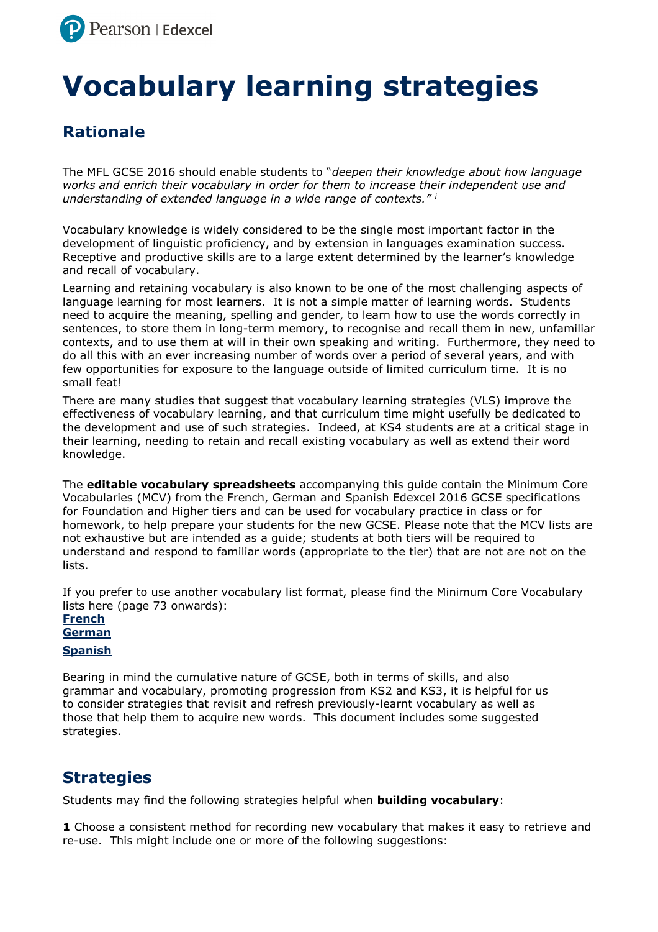

# **Vocabulary learning strategies**

# **Rationale**

The MFL GCSE 2016 should enable students to "*deepen their knowledge about how language works and enrich their vocabulary in order for them to increase their independent use and understanding of extended language in a wide range of contexts." <sup>i</sup>* 

Vocabulary knowledge is widely considered to be the single most important factor in the development of linguistic proficiency, and by extension in languages examination success. Receptive and productive skills are to a large extent determined by the learner's knowledge and recall of vocabulary.

Learning and retaining vocabulary is also known to be one of the most challenging aspects of language learning for most learners. It is not a simple matter of learning words. Students need to acquire the meaning, spelling and gender, to learn how to use the words correctly in sentences, to store them in long-term memory, to recognise and recall them in new, unfamiliar contexts, and to use them at will in their own speaking and writing. Furthermore, they need to do all this with an ever increasing number of words over a period of several years, and with few opportunities for exposure to the language outside of limited curriculum time. It is no small feat!

There are many studies that suggest that vocabulary learning strategies (VLS) improve the effectiveness of vocabulary learning, and that curriculum time might usefully be dedicated to the development and use of such strategies. Indeed, at KS4 students are at a critical stage in their learning, needing to retain and recall existing vocabulary as well as extend their word knowledge.

The **editable vocabulary spreadsheets** accompanying this guide contain the Minimum Core Vocabularies (MCV) from the French, German and Spanish Edexcel 2016 GCSE specifications for Foundation and Higher tiers and can be used for vocabulary practice in class or for homework, to help prepare your students for the new GCSE. Please note that the MCV lists are not exhaustive but are intended as a guide; students at both tiers will be required to understand and respond to familiar words (appropriate to the tier) that are not are not on the lists.

If you prefer to use another vocabulary list format, please find the Minimum Core Vocabulary lists here (page 73 onwards):

**[French](http://qualifications.pearson.com/content/dam/pdf/GCSE/French/2016/specification-and-sample-assessments/Specification-Pearson-Edexcel-Level-1-Level-2-GCSE-9-1-French.pdf) [German](http://qualifications.pearson.com/content/dam/pdf/GCSE/German/2016/specification-and-sample-assessments/Specification-Pearson-Edexcel-Level-1-Level-2-GCSE-9-1-German.pdf) [Spanish](http://qualifications.pearson.com/content/dam/pdf/GCSE/Spanish/2016/specification-and-sample-assessments/Specification-Pearson-Edexcel-Level-1-Level-2-GCSE-9-1-Spanish.pdf)**

Bearing in mind the cumulative nature of GCSE, both in terms of skills, and also grammar and vocabulary, promoting progression from KS2 and KS3, it is helpful for us to consider strategies that revisit and refresh previously-learnt vocabulary as well as those that help them to acquire new words. This document includes some suggested strategies.

## **Strategies**

Students may find the following strategies helpful when **building vocabulary**:

**1** Choose a consistent method for recording new vocabulary that makes it easy to retrieve and re-use. This might include one or more of the following suggestions: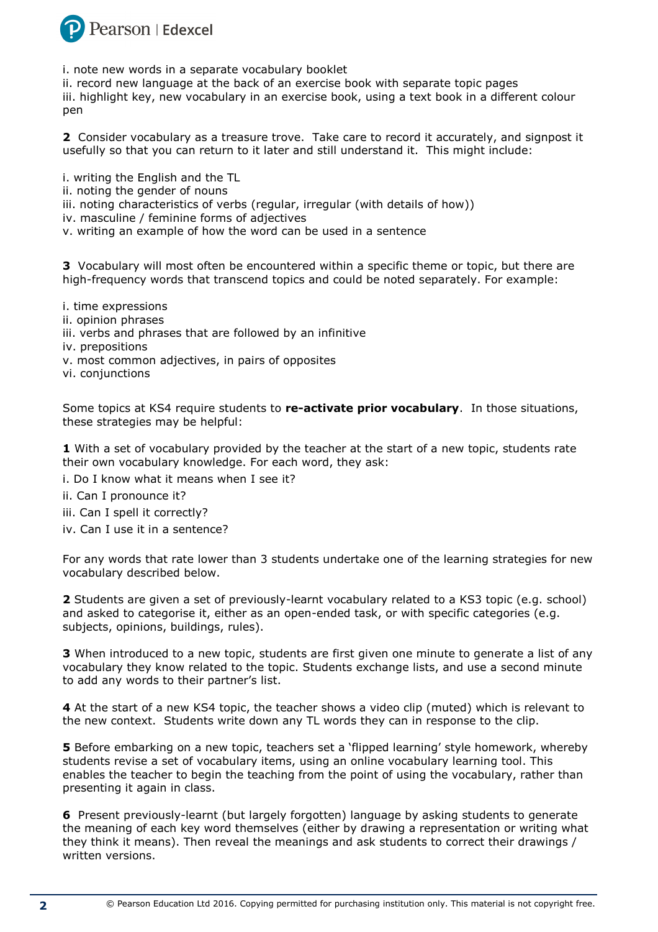

i. note new words in a separate vocabulary booklet

ii. record new language at the back of an exercise book with separate topic pages iii. highlight key, new vocabulary in an exercise book, using a text book in a different colour pen

**2** Consider vocabulary as a treasure trove. Take care to record it accurately, and signpost it usefully so that you can return to it later and still understand it. This might include:

i. writing the English and the TL

- ii. noting the gender of nouns
- iii. noting characteristics of verbs (regular, irregular (with details of how))
- iv. masculine / feminine forms of adjectives
- v. writing an example of how the word can be used in a sentence

**3** Vocabulary will most often be encountered within a specific theme or topic, but there are high-frequency words that transcend topics and could be noted separately. For example:

- i. time expressions
- ii. opinion phrases
- iii. verbs and phrases that are followed by an infinitive
- iv. prepositions
- v. most common adjectives, in pairs of opposites
- vi. conjunctions

Some topics at KS4 require students to **re-activate prior vocabulary**. In those situations, these strategies may be helpful:

**1** With a set of vocabulary provided by the teacher at the start of a new topic, students rate their own vocabulary knowledge. For each word, they ask:

- i. Do I know what it means when I see it?
- ii. Can I pronounce it?
- iii. Can I spell it correctly?
- iv. Can I use it in a sentence?

For any words that rate lower than 3 students undertake one of the learning strategies for new vocabulary described below.

**2** Students are given a set of previously-learnt vocabulary related to a KS3 topic (e.g. school) and asked to categorise it, either as an open-ended task, or with specific categories (e.g. subjects, opinions, buildings, rules).

**3** When introduced to a new topic, students are first given one minute to generate a list of any vocabulary they know related to the topic. Students exchange lists, and use a second minute to add any words to their partner's list.

**4** At the start of a new KS4 topic, the teacher shows a video clip (muted) which is relevant to the new context. Students write down any TL words they can in response to the clip.

**5** Before embarking on a new topic, teachers set a 'flipped learning' style homework, whereby students revise a set of vocabulary items, using an online vocabulary learning tool. This enables the teacher to begin the teaching from the point of using the vocabulary, rather than presenting it again in class.

**6** Present previously-learnt (but largely forgotten) language by asking students to generate the meaning of each key word themselves (either by drawing a representation or writing what they think it means). Then reveal the meanings and ask students to correct their drawings / written versions.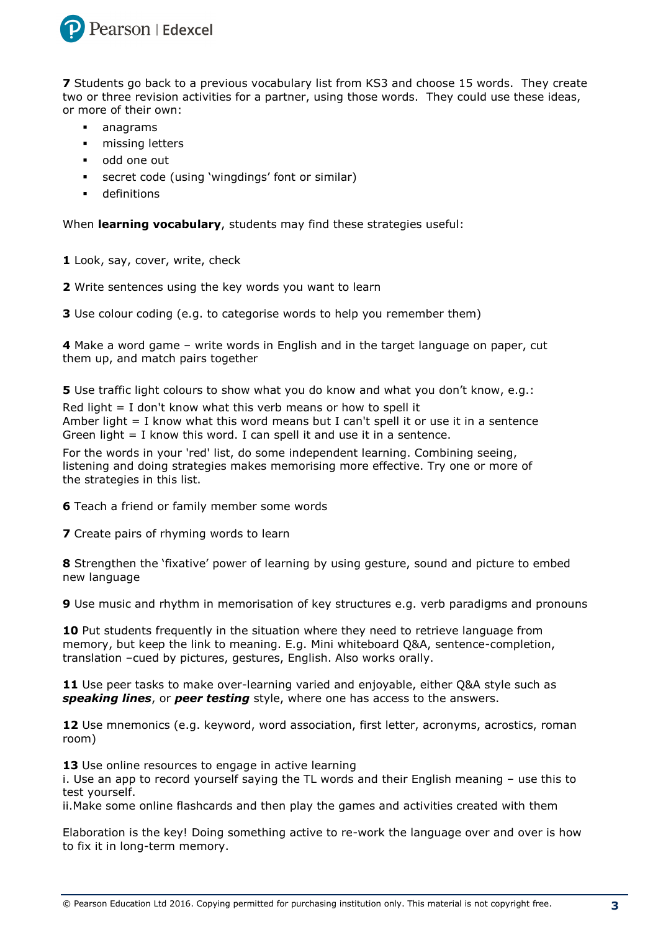

**7** Students go back to a previous vocabulary list from KS3 and choose 15 words. They create two or three revision activities for a partner, using those words. They could use these ideas, or more of their own:

- anagrams
- **n** missing letters
- odd one out
- secret code (using 'wingdings' font or similar)
- **definitions**

When **learning vocabulary**, students may find these strategies useful:

- **1** Look, say, cover, write, check
- **2** Write sentences using the key words you want to learn

**3** Use colour coding (e.g. to categorise words to help you remember them)

**4** Make a word game – write words in English and in the target language on paper, cut them up, and match pairs together

**5** Use traffic light colours to show what you do know and what you don't know, e.g.: Red light  $=$  I don't know what this verb means or how to spell it Amber light  $= I$  know what this word means but I can't spell it or use it in a sentence

Green light  $=$  I know this word. I can spell it and use it in a sentence.

For the words in your 'red' list, do some independent learning. Combining seeing, listening and doing strategies makes memorising more effective. Try one or more of the strategies in this list.

**6** Teach a friend or family member some words

**7** Create pairs of rhyming words to learn

**8** Strengthen the 'fixative' power of learning by using gesture, sound and picture to embed new language

**9** Use music and rhythm in memorisation of key structures e.g. verb paradigms and pronouns

**10** Put students frequently in the situation where they need to retrieve language from memory, but keep the link to meaning. E.g. Mini whiteboard Q&A, sentence-completion, translation –cued by pictures, gestures, English. Also works orally.

**11** Use peer tasks to make over-learning varied and enjoyable, either Q&A style such as *speaking lines*, or *peer testing* style, where one has access to the answers.

**12** Use mnemonics (e.g. keyword, word association, first letter, acronyms, acrostics, roman room)

13 Use online resources to engage in active learning

i. Use an app to record yourself saying the TL words and their English meaning – use this to test yourself.

ii.Make some online flashcards and then play the games and activities created with them

Elaboration is the key! Doing something active to re-work the language over and over is how to fix it in long-term memory.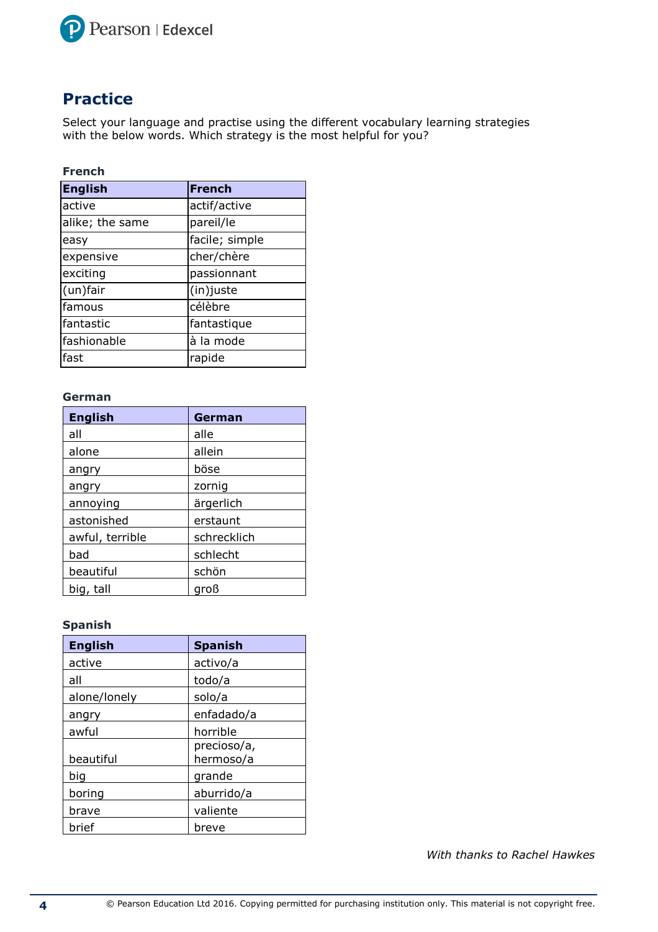

## **Practice**

Select your language and practise using the different vocabulary learning strategies with the below words. Which strategy is the most helpful for you?

## **French**

| English         | <b>French</b>  |
|-----------------|----------------|
| active          | actif/active   |
| alike; the same | pareil/le      |
| easy            | facile; simple |
| expensive       | cher/chère     |
| exciting        | passionnant    |
| (un)fair        | (in) juste     |
| famous          | célèbre        |
| fantastic       | fantastique    |
| fashionable     | à la mode      |
| fast            | rapide         |

## **German**

| <b>English</b>  | German      |
|-----------------|-------------|
| all             | alle        |
| alone           | allein      |
| angry           | böse        |
| angry           | zornig      |
| annoying        | ärgerlich   |
| astonished      | erstaunt    |
| awful, terrible | schrecklich |
| bad             | schlecht    |
| beautiful       | schön       |
| big, tall       | groß        |

## **Spanish**

| <b>English</b> | <b>Spanish</b>           |
|----------------|--------------------------|
| active         | activo/a                 |
| all            | todo/a                   |
| alone/lonely   | solo/a                   |
| angry          | enfadado/a               |
| awful          | horrible                 |
| beautiful      | precioso/a,<br>hermoso/a |
| big            | grande                   |
| boring         | aburrido/a               |
| brave          | valiente                 |
| brief          | breve                    |

*With thanks to Rachel Hawkes*